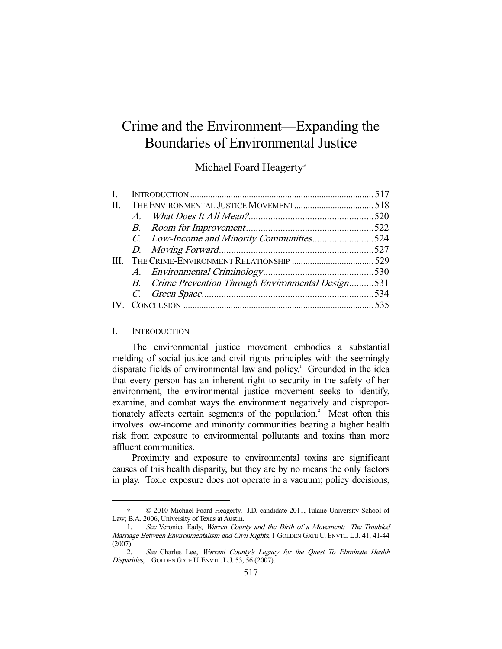# Crime and the Environment—Expanding the Boundaries of Environmental Justice

## Michael Foard Heagerty<sup>∗</sup>

|  | C. Low-Income and Minority Communities524<br>B. Crime Prevention Through Environmental Design531 |
|--|--------------------------------------------------------------------------------------------------|

#### I. INTRODUCTION

-

 The environmental justice movement embodies a substantial melding of social justice and civil rights principles with the seemingly disparate fields of environmental law and policy.<sup>1</sup> Grounded in the idea that every person has an inherent right to security in the safety of her environment, the environmental justice movement seeks to identify, examine, and combat ways the environment negatively and disproportionately affects certain segments of the population.<sup>2</sup> Most often this involves low-income and minority communities bearing a higher health risk from exposure to environmental pollutants and toxins than more affluent communities.

 Proximity and exposure to environmental toxins are significant causes of this health disparity, but they are by no means the only factors in play. Toxic exposure does not operate in a vacuum; policy decisions,

<sup>∗</sup> © 2010 Michael Foard Heagerty. J.D. candidate 2011, Tulane University School of Law; B.A. 2006, University of Texas at Austin.

 <sup>1.</sup> See Veronica Eady, Warren County and the Birth of a Movement: The Troubled Marriage Between Environmentalism and Civil Rights, 1 GOLDEN GATE U. ENVTL. L.J. 41, 41-44 (2007).

 <sup>2.</sup> See Charles Lee, Warrant County's Legacy for the Quest To Eliminate Health Disparities, 1 GOLDEN GATE U. ENVTL. L.J. 53, 56 (2007).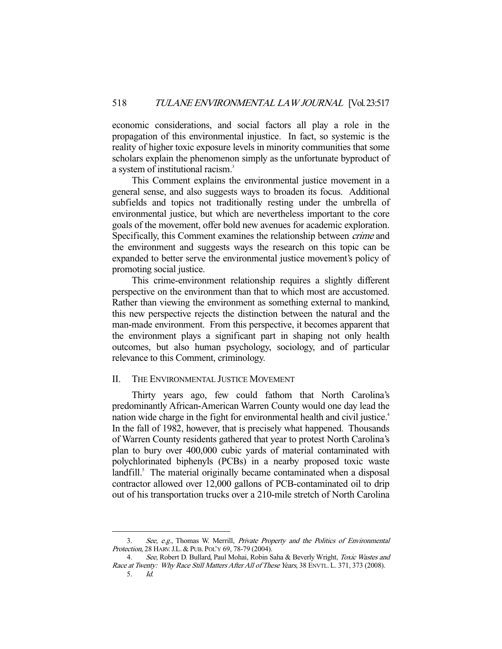economic considerations, and social factors all play a role in the propagation of this environmental injustice. In fact, so systemic is the reality of higher toxic exposure levels in minority communities that some scholars explain the phenomenon simply as the unfortunate byproduct of a system of institutional racism.<sup>3</sup>

 This Comment explains the environmental justice movement in a general sense, and also suggests ways to broaden its focus. Additional subfields and topics not traditionally resting under the umbrella of environmental justice, but which are nevertheless important to the core goals of the movement, offer bold new avenues for academic exploration. Specifically, this Comment examines the relationship between crime and the environment and suggests ways the research on this topic can be expanded to better serve the environmental justice movement's policy of promoting social justice.

 This crime-environment relationship requires a slightly different perspective on the environment than that to which most are accustomed. Rather than viewing the environment as something external to mankind, this new perspective rejects the distinction between the natural and the man-made environment. From this perspective, it becomes apparent that the environment plays a significant part in shaping not only health outcomes, but also human psychology, sociology, and of particular relevance to this Comment, criminology.

## II. THE ENVIRONMENTAL JUSTICE MOVEMENT

-

 Thirty years ago, few could fathom that North Carolina's predominantly African-American Warren County would one day lead the nation wide charge in the fight for environmental health and civil justice.<sup>4</sup> In the fall of 1982, however, that is precisely what happened. Thousands of Warren County residents gathered that year to protest North Carolina's plan to bury over 400,000 cubic yards of material contaminated with polychlorinated biphenyls (PCBs) in a nearby proposed toxic waste landfill.<sup>5</sup> The material originally became contaminated when a disposal contractor allowed over 12,000 gallons of PCB-contaminated oil to drip out of his transportation trucks over a 210-mile stretch of North Carolina

<sup>3.</sup> See, e.g., Thomas W. Merrill, Private Property and the Politics of Environmental Protection, 28 HARV.J.L. & PUB. POL'Y 69, 78-79 (2004).

<sup>4.</sup> See, Robert D. Bullard, Paul Mohai, Robin Saha & Beverly Wright, Toxic Wastes and Race at Twenty: Why Race Still Matters After All of These Years, 38 ENVTL. L. 371, 373 (2008). 5. Id.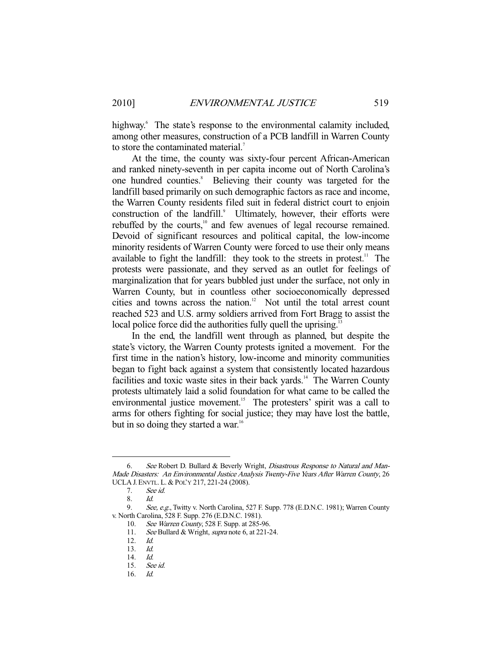highway.<sup>6</sup> The state's response to the environmental calamity included, among other measures, construction of a PCB landfill in Warren County to store the contaminated material.<sup>7</sup>

 At the time, the county was sixty-four percent African-American and ranked ninety-seventh in per capita income out of North Carolina's one hundred counties.<sup>8</sup> Believing their county was targeted for the landfill based primarily on such demographic factors as race and income, the Warren County residents filed suit in federal district court to enjoin construction of the landfill.<sup>9</sup> Ultimately, however, their efforts were rebuffed by the courts,<sup>10</sup> and few avenues of legal recourse remained. Devoid of significant resources and political capital, the low-income minority residents of Warren County were forced to use their only means available to fight the landfill: they took to the streets in protest.<sup>11</sup> The protests were passionate, and they served as an outlet for feelings of marginalization that for years bubbled just under the surface, not only in Warren County, but in countless other socioeconomically depressed cities and towns across the nation.<sup>12</sup> Not until the total arrest count reached 523 and U.S. army soldiers arrived from Fort Bragg to assist the local police force did the authorities fully quell the uprising.<sup>1</sup>

 In the end, the landfill went through as planned, but despite the state's victory, the Warren County protests ignited a movement. For the first time in the nation's history, low-income and minority communities began to fight back against a system that consistently located hazardous facilities and toxic waste sites in their back yards.<sup>14</sup> The Warren County protests ultimately laid a solid foundation for what came to be called the environmental justice movement.<sup>15</sup> The protesters' spirit was a call to arms for others fighting for social justice; they may have lost the battle, but in so doing they started a war.<sup>16</sup>

 <sup>6.</sup> See Robert D. Bullard & Beverly Wright, Disastrous Response to Natural and Man-Made Disasters: An Environmental Justice Analysis Twenty-Five Years After Warren County, 26 UCLA J. ENVTL. L. & POL'Y 217, 221-24 (2008).

 <sup>7.</sup> See id.

<sup>8.</sup>  $Id.$ <br>9  $Se$ 

See, e.g., Twitty v. North Carolina, 527 F. Supp. 778 (E.D.N.C. 1981); Warren County v. North Carolina, 528 F. Supp. 276 (E.D.N.C. 1981).

 <sup>10.</sup> See Warren County, 528 F. Supp. at 285-96.

<sup>11.</sup> See Bullard & Wright, supra note 6, at 221-24.

 <sup>12.</sup> Id.

 <sup>13.</sup> Id.

 <sup>14.</sup> Id.

 <sup>15.</sup> See id.

 <sup>16.</sup> Id.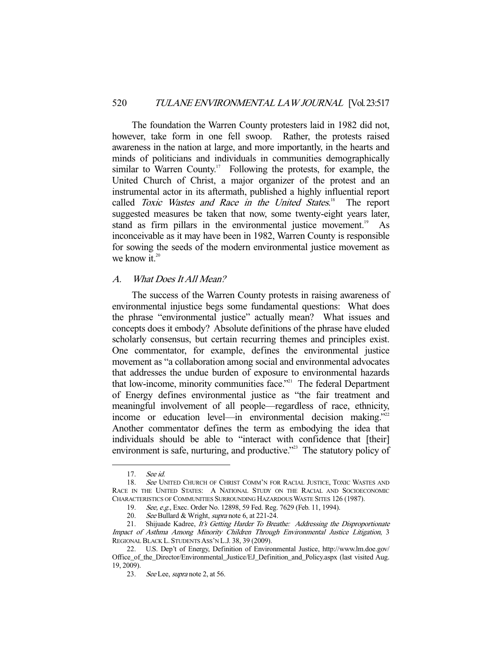The foundation the Warren County protesters laid in 1982 did not, however, take form in one fell swoop. Rather, the protests raised awareness in the nation at large, and more importantly, in the hearts and minds of politicians and individuals in communities demographically similar to Warren County.<sup>17</sup> Following the protests, for example, the United Church of Christ, a major organizer of the protest and an instrumental actor in its aftermath, published a highly influential report called Toxic Wastes and Race in the United States.<sup>18</sup> The report suggested measures be taken that now, some twenty-eight years later, stand as firm pillars in the environmental justice movement.<sup>19</sup> As inconceivable as it may have been in 1982, Warren County is responsible for sowing the seeds of the modern environmental justice movement as we know it. $20$ 

#### A. What Does It All Mean?

 The success of the Warren County protests in raising awareness of environmental injustice begs some fundamental questions: What does the phrase "environmental justice" actually mean? What issues and concepts does it embody? Absolute definitions of the phrase have eluded scholarly consensus, but certain recurring themes and principles exist. One commentator, for example, defines the environmental justice movement as "a collaboration among social and environmental advocates that addresses the undue burden of exposure to environmental hazards that low-income, minority communities face."<sup>21</sup> The federal Department of Energy defines environmental justice as "the fair treatment and meaningful involvement of all people—regardless of race, ethnicity, income or education level—in environmental decision making."<sup>22</sup> Another commentator defines the term as embodying the idea that individuals should be able to "interact with confidence that [their] environment is safe, nurturing, and productive."<sup>23</sup> The statutory policy of

 <sup>17.</sup> See id.

<sup>18.</sup> See UNITED CHURCH OF CHRIST COMM'N FOR RACIAL JUSTICE, TOXIC WASTES AND RACE IN THE UNITED STATES: A NATIONAL STUDY ON THE RACIAL AND SOCIOECONOMIC CHARACTERISTICS OF COMMUNITIES SURROUNDING HAZARDOUS WASTE SITES 126 (1987).

 <sup>19.</sup> See, e.g., Exec. Order No. 12898, 59 Fed. Reg. 7629 (Feb. 11, 1994).

<sup>20.</sup> See Bullard & Wright, supra note 6, at 221-24.

<sup>21.</sup> Shijuade Kadree, It's Getting Harder To Breathe: Addressing the Disproportionate Impact of Asthma Among Minority Children Through Environmental Justice Litigation, 3 REGIONAL BLACK L. STUDENTS ASS'N L.J. 38, 39 (2009).

 <sup>22.</sup> U.S. Dep't of Energy, Definition of Environmental Justice, http://www.lm.doe.gov/ Office\_of\_the\_Director/Environmental\_Justice/EJ\_Definition\_and\_Policy.aspx (last visited Aug. 19, 2009).

 <sup>23.</sup> See Lee, supra note 2, at 56.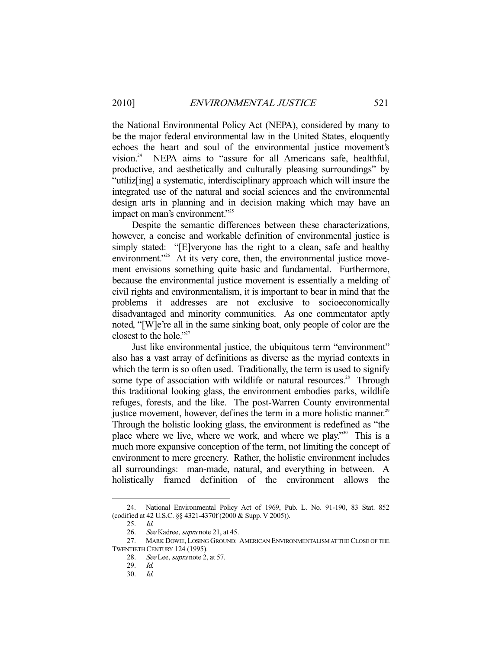the National Environmental Policy Act (NEPA), considered by many to be the major federal environmental law in the United States, eloquently echoes the heart and soul of the environmental justice movement's vision.24 NEPA aims to "assure for all Americans safe, healthful, productive, and aesthetically and culturally pleasing surroundings" by "utiliz[ing] a systematic, interdisciplinary approach which will insure the integrated use of the natural and social sciences and the environmental design arts in planning and in decision making which may have an impact on man's environment."<sup>25</sup>

 Despite the semantic differences between these characterizations, however, a concise and workable definition of environmental justice is simply stated: "[E]veryone has the right to a clean, safe and healthy environment."<sup>26</sup> At its very core, then, the environmental justice movement envisions something quite basic and fundamental. Furthermore, because the environmental justice movement is essentially a melding of civil rights and environmentalism, it is important to bear in mind that the problems it addresses are not exclusive to socioeconomically disadvantaged and minority communities. As one commentator aptly noted, "[W]e're all in the same sinking boat, only people of color are the closest to the hole."<sup>27</sup>

 Just like environmental justice, the ubiquitous term "environment" also has a vast array of definitions as diverse as the myriad contexts in which the term is so often used. Traditionally, the term is used to signify some type of association with wildlife or natural resources.<sup>28</sup> Through this traditional looking glass, the environment embodies parks, wildlife refuges, forests, and the like. The post-Warren County environmental justice movement, however, defines the term in a more holistic manner.<sup>29</sup> Through the holistic looking glass, the environment is redefined as "the place where we live, where we work, and where we play."<sup>30</sup> This is a much more expansive conception of the term, not limiting the concept of environment to mere greenery. Rather, the holistic environment includes all surroundings: man-made, natural, and everything in between. A holistically framed definition of the environment allows the

 <sup>24.</sup> National Environmental Policy Act of 1969, Pub. L. No. 91-190, 83 Stat. 852 (codified at 42 U.S.C. §§ 4321-4370f (2000 & Supp. V 2005)).

 <sup>25.</sup> Id.

<sup>26.</sup> See Kadree, *supra* note 21, at 45.

 <sup>27.</sup> MARK DOWIE, LOSING GROUND: AMERICAN ENVIRONMENTALISM AT THE CLOSE OF THE TWENTIETH CENTURY 124 (1995).

<sup>28.</sup> See Lee, *supra* note 2, at 57.

<sup>29.</sup> *Id.*<br>30. *Id.* 

 <sup>30.</sup> Id.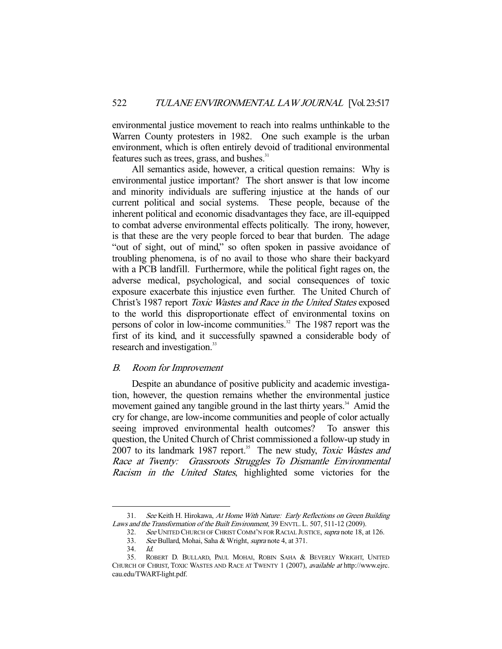environmental justice movement to reach into realms unthinkable to the Warren County protesters in 1982. One such example is the urban environment, which is often entirely devoid of traditional environmental features such as trees, grass, and bushes.<sup>31</sup>

 All semantics aside, however, a critical question remains: Why is environmental justice important? The short answer is that low income and minority individuals are suffering injustice at the hands of our current political and social systems. These people, because of the inherent political and economic disadvantages they face, are ill-equipped to combat adverse environmental effects politically. The irony, however, is that these are the very people forced to bear that burden. The adage "out of sight, out of mind," so often spoken in passive avoidance of troubling phenomena, is of no avail to those who share their backyard with a PCB landfill. Furthermore, while the political fight rages on, the adverse medical, psychological, and social consequences of toxic exposure exacerbate this injustice even further. The United Church of Christ's 1987 report Toxic Wastes and Race in the United States exposed to the world this disproportionate effect of environmental toxins on persons of color in low-income communities.<sup>32</sup> The 1987 report was the first of its kind, and it successfully spawned a considerable body of research and investigation.<sup>33</sup>

#### B. Room for Improvement

 Despite an abundance of positive publicity and academic investigation, however, the question remains whether the environmental justice movement gained any tangible ground in the last thirty years.<sup>34</sup> Amid the cry for change, are low-income communities and people of color actually seeing improved environmental health outcomes? To answer this question, the United Church of Christ commissioned a follow-up study in 2007 to its landmark 1987 report.<sup>35</sup> The new study, *Toxic Wastes and* Race at Twenty: Grassroots Struggles To Dismantle Environmental Racism in the United States, highlighted some victories for the

 <sup>31.</sup> See Keith H. Hirokawa, At Home With Nature: Early Reflections on Green Building Laws and the Transformation of the Built Environment, 39 ENVTL. L. 507, 511-12 (2009).

<sup>32.</sup> See UNITED CHURCH OF CHRIST COMM'N FOR RACIAL JUSTICE, supra note 18, at 126.

 <sup>33.</sup> See Bullard, Mohai, Saha & Wright, supra note 4, at 371.

 <sup>34.</sup> Id.

 <sup>35.</sup> ROBERT D. BULLARD, PAUL MOHAI, ROBIN SAHA & BEVERLY WRIGHT, UNITED CHURCH OF CHRIST, TOXIC WASTES AND RACE AT TWENTY 1 (2007), available at http://www.ejrc. cau.edu/TWART-light.pdf.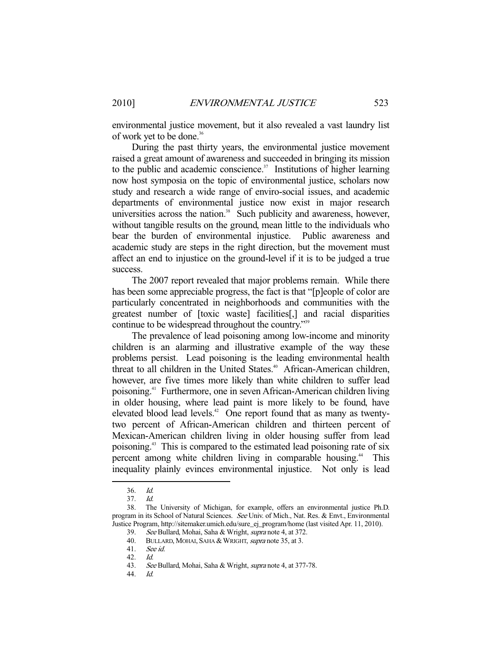environmental justice movement, but it also revealed a vast laundry list of work yet to be done.<sup>36</sup>

 During the past thirty years, the environmental justice movement raised a great amount of awareness and succeeded in bringing its mission to the public and academic conscience. $37$  Institutions of higher learning now host symposia on the topic of environmental justice, scholars now study and research a wide range of enviro-social issues, and academic departments of environmental justice now exist in major research universities across the nation. $38$  Such publicity and awareness, however, without tangible results on the ground, mean little to the individuals who bear the burden of environmental injustice. Public awareness and academic study are steps in the right direction, but the movement must affect an end to injustice on the ground-level if it is to be judged a true success.

 The 2007 report revealed that major problems remain. While there has been some appreciable progress, the fact is that "[p]eople of color are particularly concentrated in neighborhoods and communities with the greatest number of [toxic waste] facilities[,] and racial disparities continue to be widespread throughout the country."39

 The prevalence of lead poisoning among low-income and minority children is an alarming and illustrative example of the way these problems persist. Lead poisoning is the leading environmental health threat to all children in the United States.<sup>40</sup> African-American children, however, are five times more likely than white children to suffer lead poisoning.41 Furthermore, one in seven African-American children living in older housing, where lead paint is more likely to be found, have elevated blood lead levels.<sup>42</sup> One report found that as many as twentytwo percent of African-American children and thirteen percent of Mexican-American children living in older housing suffer from lead poisoning.43 This is compared to the estimated lead poisoning rate of six percent among white children living in comparable housing.<sup>44</sup> This inequality plainly evinces environmental injustice. Not only is lead

 <sup>36.</sup> Id.

 <sup>37.</sup> Id.

 <sup>38.</sup> The University of Michigan, for example, offers an environmental justice Ph.D. program in its School of Natural Sciences. See Univ. of Mich., Nat. Res. & Envt., Environmental Justice Program, http://sitemaker.umich.edu/sure\_ej\_program/home (last visited Apr. 11, 2010).

 <sup>39.</sup> See Bullard, Mohai, Saha & Wright, supra note 4, at 372.

<sup>40.</sup> BULLARD, MOHAI, SAHA & WRIGHT, *supra* note 35, at 3.

 <sup>41.</sup> See id.

 <sup>42.</sup> Id.

<sup>43.</sup> See Bullard, Mohai, Saha & Wright, *supra* note 4, at 377-78.

 <sup>44.</sup> Id.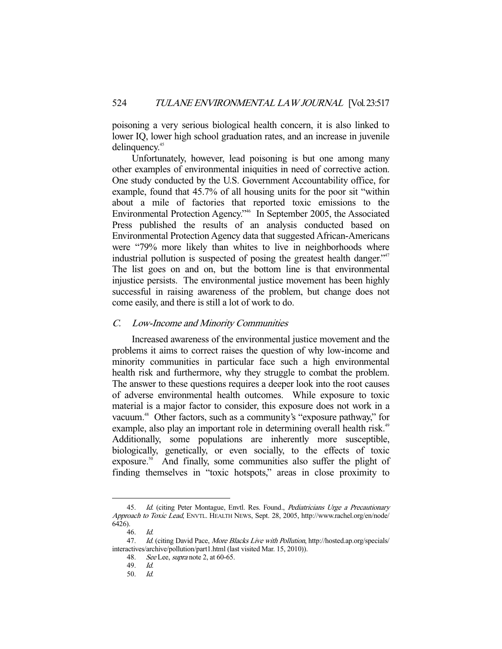poisoning a very serious biological health concern, it is also linked to lower IQ, lower high school graduation rates, and an increase in juvenile delinquency.<sup>45</sup>

 Unfortunately, however, lead poisoning is but one among many other examples of environmental iniquities in need of corrective action. One study conducted by the U.S. Government Accountability office, for example, found that 45.7% of all housing units for the poor sit "within about a mile of factories that reported toxic emissions to the Environmental Protection Agency."46 In September 2005, the Associated Press published the results of an analysis conducted based on Environmental Protection Agency data that suggested African-Americans were "79% more likely than whites to live in neighborhoods where industrial pollution is suspected of posing the greatest health danger."<sup>47</sup> The list goes on and on, but the bottom line is that environmental injustice persists. The environmental justice movement has been highly successful in raising awareness of the problem, but change does not come easily, and there is still a lot of work to do.

## C. Low-Income and Minority Communities

 Increased awareness of the environmental justice movement and the problems it aims to correct raises the question of why low-income and minority communities in particular face such a high environmental health risk and furthermore, why they struggle to combat the problem. The answer to these questions requires a deeper look into the root causes of adverse environmental health outcomes. While exposure to toxic material is a major factor to consider, this exposure does not work in a vacuum.<sup>48</sup> Other factors, such as a community's "exposure pathway," for example, also play an important role in determining overall health risk.<sup>49</sup> Additionally, some populations are inherently more susceptible, biologically, genetically, or even socially, to the effects of toxic exposure.<sup>50</sup> And finally, some communities also suffer the plight of finding themselves in "toxic hotspots," areas in close proximity to

<sup>-</sup>45. Id. (citing Peter Montague, Envtl. Res. Found., Pediatricians Urge a Precautionary Approach to Toxic Lead, ENVTL. HEALTH NEWS, Sept. 28, 2005, http://www.rachel.org/en/node/ 6426).

 <sup>46.</sup> Id.

<sup>47.</sup> Id. (citing David Pace, More Blacks Live with Pollution, http://hosted.ap.org/specials/ interactives/archive/pollution/part1.html (last visited Mar. 15, 2010)).

<sup>48.</sup> See Lee, *supra* note 2, at 60-65.

<sup>49.</sup> *Id.*<br>50. *Id.* 

 <sup>50.</sup> Id.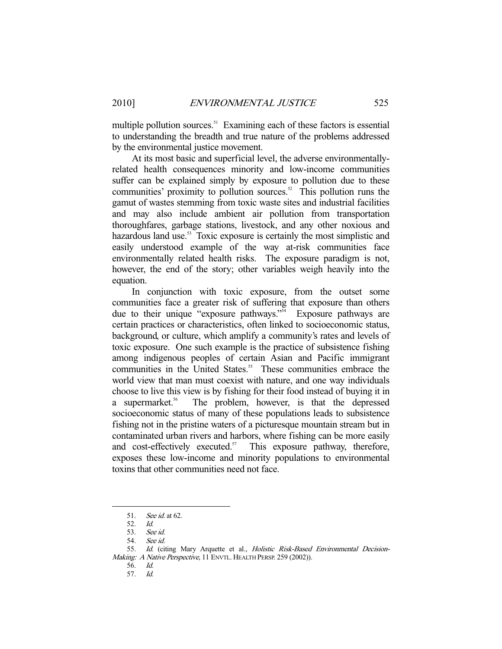multiple pollution sources.<sup>51</sup> Examining each of these factors is essential to understanding the breadth and true nature of the problems addressed by the environmental justice movement.

 At its most basic and superficial level, the adverse environmentallyrelated health consequences minority and low-income communities suffer can be explained simply by exposure to pollution due to these communities' proximity to pollution sources.<sup>52</sup> This pollution runs the gamut of wastes stemming from toxic waste sites and industrial facilities and may also include ambient air pollution from transportation thoroughfares, garbage stations, livestock, and any other noxious and hazardous land use.<sup>53</sup> Toxic exposure is certainly the most simplistic and easily understood example of the way at-risk communities face environmentally related health risks. The exposure paradigm is not, however, the end of the story; other variables weigh heavily into the equation.

 In conjunction with toxic exposure, from the outset some communities face a greater risk of suffering that exposure than others due to their unique "exposure pathways."<sup>54</sup> Exposure pathways are certain practices or characteristics, often linked to socioeconomic status, background, or culture, which amplify a community's rates and levels of toxic exposure. One such example is the practice of subsistence fishing among indigenous peoples of certain Asian and Pacific immigrant communities in the United States.<sup>55</sup> These communities embrace the world view that man must coexist with nature, and one way individuals choose to live this view is by fishing for their food instead of buying it in a supermarket.<sup>56</sup> The problem, however, is that the depressed socioeconomic status of many of these populations leads to subsistence fishing not in the pristine waters of a picturesque mountain stream but in contaminated urban rivers and harbors, where fishing can be more easily and cost-effectively executed. $57$  This exposure pathway, therefore, exposes these low-income and minority populations to environmental toxins that other communities need not face.

 <sup>51.</sup> See id. at 62.

 <sup>52.</sup> Id.

 <sup>53.</sup> See id.

 <sup>54.</sup> See id.

<sup>55.</sup> Id. (citing Mary Arquette et al., Holistic Risk-Based Environmental Decision-Making: A Native Perspective, 11 ENVTL. HEALTH PERSP. 259 (2002)).

 <sup>56.</sup> Id.

 <sup>57.</sup> Id.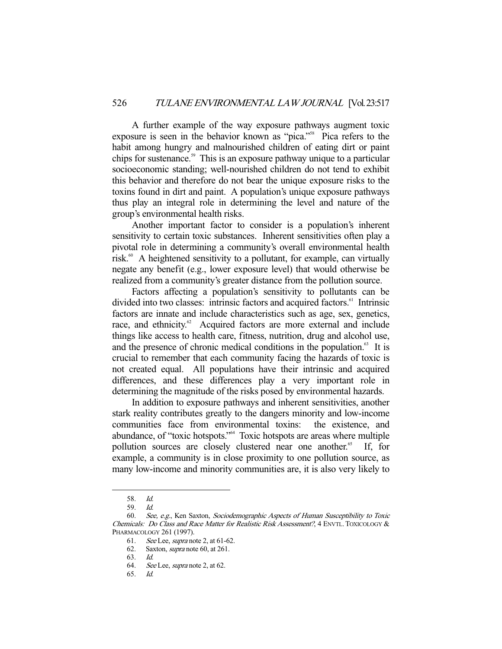A further example of the way exposure pathways augment toxic exposure is seen in the behavior known as "pica."<sup>58</sup> Pica refers to the habit among hungry and malnourished children of eating dirt or paint chips for sustenance.<sup>59</sup> This is an exposure pathway unique to a particular socioeconomic standing; well-nourished children do not tend to exhibit this behavior and therefore do not bear the unique exposure risks to the toxins found in dirt and paint. A population's unique exposure pathways thus play an integral role in determining the level and nature of the group's environmental health risks.

 Another important factor to consider is a population's inherent sensitivity to certain toxic substances. Inherent sensitivities often play a pivotal role in determining a community's overall environmental health risk.<sup>60</sup> A heightened sensitivity to a pollutant, for example, can virtually negate any benefit (e.g., lower exposure level) that would otherwise be realized from a community's greater distance from the pollution source.

 Factors affecting a population's sensitivity to pollutants can be divided into two classes: intrinsic factors and acquired factors.<sup>61</sup> Intrinsic factors are innate and include characteristics such as age, sex, genetics, race, and ethnicity.<sup>62</sup> Acquired factors are more external and include things like access to health care, fitness, nutrition, drug and alcohol use, and the presence of chronic medical conditions in the population.<sup>63</sup> It is crucial to remember that each community facing the hazards of toxic is not created equal. All populations have their intrinsic and acquired differences, and these differences play a very important role in determining the magnitude of the risks posed by environmental hazards.

 In addition to exposure pathways and inherent sensitivities, another stark reality contributes greatly to the dangers minority and low-income communities face from environmental toxins: the existence, and abundance, of "toxic hotspots."64 Toxic hotspots are areas where multiple pollution sources are closely clustered near one another.<sup>65</sup> If, for example, a community is in close proximity to one pollution source, as many low-income and minority communities are, it is also very likely to

 <sup>58.</sup> Id.

<sup>59.</sup> *Id.*<br>60. *Sea* 

 <sup>60.</sup> See, e.g., Ken Saxton, Sociodemographic Aspects of Human Susceptibility to Toxic Chemicals: Do Class and Race Matter for Realistic Risk Assessment?, 4 ENVTL. TOXICOLOGY & PHARMACOLOGY 261 (1997).

 <sup>61.</sup> See Lee, supra note 2, at 61-62.

 <sup>62.</sup> Saxton, supra note 60, at 261.

 <sup>63.</sup> Id.

 <sup>64.</sup> See Lee, supra note 2, at 62.

 <sup>65.</sup> Id.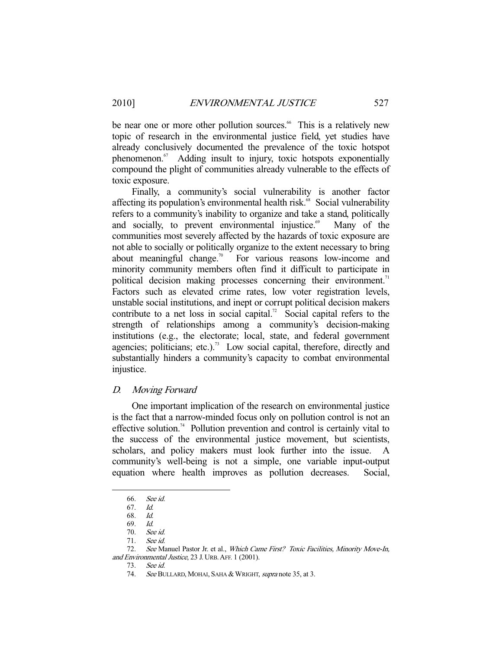be near one or more other pollution sources.<sup>66</sup> This is a relatively new topic of research in the environmental justice field, yet studies have already conclusively documented the prevalence of the toxic hotspot phenomenon.<sup>67</sup> Adding insult to injury, toxic hotspots exponentially compound the plight of communities already vulnerable to the effects of toxic exposure.

 Finally, a community's social vulnerability is another factor affecting its population's environmental health risk.<sup>68</sup> Social vulnerability refers to a community's inability to organize and take a stand, politically and socially, to prevent environmental injustice. $6^{\circ}$  Many of the communities most severely affected by the hazards of toxic exposure are not able to socially or politically organize to the extent necessary to bring about meaningful change.<sup>70</sup> For various reasons low-income and minority community members often find it difficult to participate in political decision making processes concerning their environment.<sup>71</sup> Factors such as elevated crime rates, low voter registration levels, unstable social institutions, and inept or corrupt political decision makers contribute to a net loss in social capital.<sup>72</sup> Social capital refers to the strength of relationships among a community's decision-making institutions (e.g., the electorate; local, state, and federal government agencies; politicians; etc.).<sup>73</sup> Low social capital, therefore, directly and substantially hinders a community's capacity to combat environmental injustice.

## D. Moving Forward

 One important implication of the research on environmental justice is the fact that a narrow-minded focus only on pollution control is not an effective solution.<sup>74</sup> Pollution prevention and control is certainly vital to the success of the environmental justice movement, but scientists, scholars, and policy makers must look further into the issue. A community's well-being is not a simple, one variable input-output equation where health improves as pollution decreases. Social,

 <sup>66.</sup> See id.

 <sup>67.</sup> Id.

 <sup>68.</sup> Id.

 <sup>69.</sup> Id.

 <sup>70.</sup> See id.

 <sup>71.</sup> See id.

<sup>72.</sup> See Manuel Pastor Jr. et al., Which Came First? Toxic Facilities, Minority Move-In, and Environmental Justice, 23 J. URB.AFF. 1 (2001).

 <sup>73.</sup> See id.

<sup>74.</sup> See BULLARD, MOHAI, SAHA & WRIGHT, supra note 35, at 3.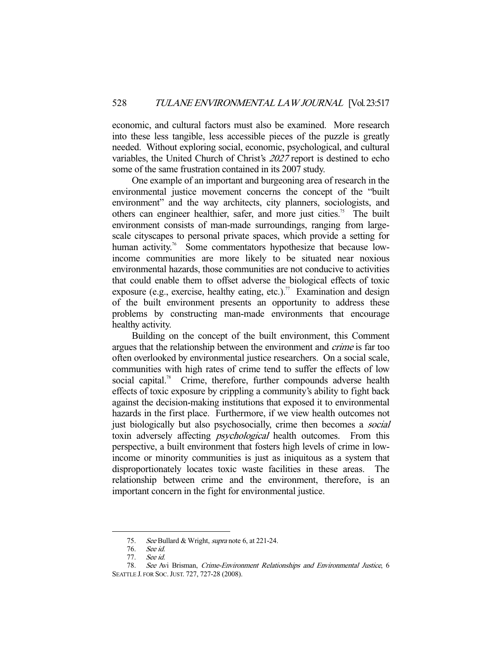economic, and cultural factors must also be examined. More research into these less tangible, less accessible pieces of the puzzle is greatly needed. Without exploring social, economic, psychological, and cultural variables, the United Church of Christ's 2027 report is destined to echo some of the same frustration contained in its 2007 study.

 One example of an important and burgeoning area of research in the environmental justice movement concerns the concept of the "built environment" and the way architects, city planners, sociologists, and others can engineer healthier, safer, and more just cities.<sup>75</sup> The built environment consists of man-made surroundings, ranging from largescale cityscapes to personal private spaces, which provide a setting for human activity.<sup>76</sup> Some commentators hypothesize that because lowincome communities are more likely to be situated near noxious environmental hazards, those communities are not conducive to activities that could enable them to offset adverse the biological effects of toxic exposure (e.g., exercise, healthy eating, etc.).<sup>77</sup> Examination and design of the built environment presents an opportunity to address these problems by constructing man-made environments that encourage healthy activity.

 Building on the concept of the built environment, this Comment argues that the relationship between the environment and crime is far too often overlooked by environmental justice researchers. On a social scale, communities with high rates of crime tend to suffer the effects of low social capital.<sup>78</sup> Crime, therefore, further compounds adverse health effects of toxic exposure by crippling a community's ability to fight back against the decision-making institutions that exposed it to environmental hazards in the first place. Furthermore, if we view health outcomes not just biologically but also psychosocially, crime then becomes a *social* toxin adversely affecting psychological health outcomes. From this perspective, a built environment that fosters high levels of crime in lowincome or minority communities is just as iniquitous as a system that disproportionately locates toxic waste facilities in these areas. The relationship between crime and the environment, therefore, is an important concern in the fight for environmental justice.

<sup>75.</sup> See Bullard & Wright, supra note 6, at 221-24.

 <sup>76.</sup> See id.

 <sup>77.</sup> See id.

 <sup>78.</sup> See Avi Brisman, Crime-Environment Relationships and Environmental Justice, 6 SEATTLE J. FOR SOC.JUST. 727, 727-28 (2008).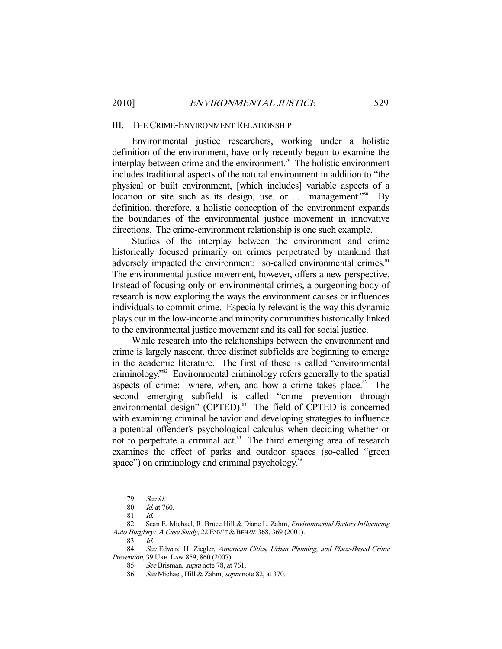#### III. THE CRIME-ENVIRONMENT RELATIONSHIP

 Environmental justice researchers, working under a holistic definition of the environment, have only recently begun to examine the interplay between crime and the environment.<sup>79</sup> The holistic environment includes traditional aspects of the natural environment in addition to "the physical or built environment, [which includes] variable aspects of a location or site such as its design, use, or  $\dots$  management.<sup>580</sup> By definition, therefore, a holistic conception of the environment expands the boundaries of the environmental justice movement in innovative directions. The crime-environment relationship is one such example.

 Studies of the interplay between the environment and crime historically focused primarily on crimes perpetrated by mankind that adversely impacted the environment: so-called environmental crimes.<sup>81</sup> The environmental justice movement, however, offers a new perspective. Instead of focusing only on environmental crimes, a burgeoning body of research is now exploring the ways the environment causes or influences individuals to commit crime. Especially relevant is the way this dynamic plays out in the low-income and minority communities historically linked to the environmental justice movement and its call for social justice.

 While research into the relationships between the environment and crime is largely nascent, three distinct subfields are beginning to emerge in the academic literature. The first of these is called "environmental criminology."82 Environmental criminology refers generally to the spatial aspects of crime: where, when, and how a crime takes place. $83$  The second emerging subfield is called "crime prevention through environmental design" (CPTED).<sup>84</sup> The field of CPTED is concerned with examining criminal behavior and developing strategies to influence a potential offender's psychological calculus when deciding whether or not to perpetrate a criminal act.<sup>85</sup> The third emerging area of research examines the effect of parks and outdoor spaces (so-called "green space") on criminology and criminal psychology.<sup>86</sup>

 <sup>79.</sup> See id.

 <sup>80.</sup> Id. at 760.

 <sup>81.</sup> Id.

<sup>82.</sup> Sean E. Michael, R. Bruce Hill & Diane L. Zahm, *Environmental Factors Influencing* Auto Burglary: A Case Study, 22 ENV'T & BEHAV. 368, 369 (2001).

 <sup>83.</sup> Id.

<sup>84.</sup> See Edward H. Ziegler, American Cities, Urban Planning, and Place-Based Crime Prevention, 39 URB. LAW. 859, 860 (2007).

 <sup>85.</sup> See Brisman, supra note 78, at 761.

<sup>86.</sup> See Michael, Hill & Zahm, supra note 82, at 370.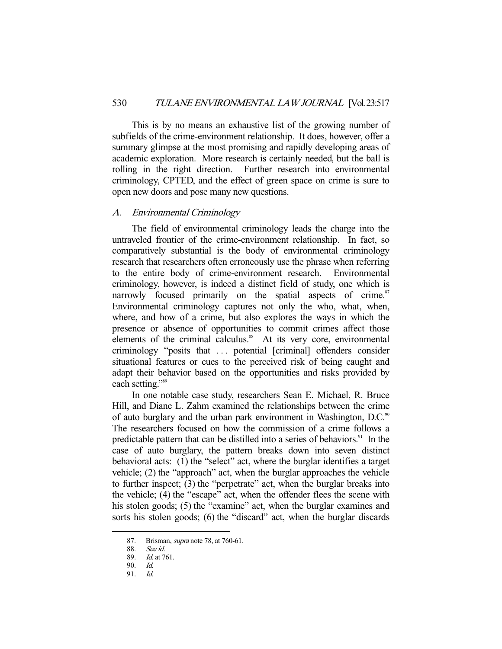This is by no means an exhaustive list of the growing number of subfields of the crime-environment relationship. It does, however, offer a summary glimpse at the most promising and rapidly developing areas of academic exploration. More research is certainly needed, but the ball is rolling in the right direction. Further research into environmental criminology, CPTED, and the effect of green space on crime is sure to open new doors and pose many new questions.

## A. Environmental Criminology

 The field of environmental criminology leads the charge into the untraveled frontier of the crime-environment relationship. In fact, so comparatively substantial is the body of environmental criminology research that researchers often erroneously use the phrase when referring to the entire body of crime-environment research. Environmental criminology, however, is indeed a distinct field of study, one which is narrowly focused primarily on the spatial aspects of crime. $87$ Environmental criminology captures not only the who, what, when, where, and how of a crime, but also explores the ways in which the presence or absence of opportunities to commit crimes affect those elements of the criminal calculus.<sup>88</sup> At its very core, environmental criminology "posits that . . . potential [criminal] offenders consider situational features or cues to the perceived risk of being caught and adapt their behavior based on the opportunities and risks provided by each setting."<sup>89</sup>

 In one notable case study, researchers Sean E. Michael, R. Bruce Hill, and Diane L. Zahm examined the relationships between the crime of auto burglary and the urban park environment in Washington, D.C.<sup>90</sup> The researchers focused on how the commission of a crime follows a predictable pattern that can be distilled into a series of behaviors.<sup>91</sup> In the case of auto burglary, the pattern breaks down into seven distinct behavioral acts: (1) the "select" act, where the burglar identifies a target vehicle; (2) the "approach" act, when the burglar approaches the vehicle to further inspect; (3) the "perpetrate" act, when the burglar breaks into the vehicle; (4) the "escape" act, when the offender flees the scene with his stolen goods; (5) the "examine" act, when the burglar examines and sorts his stolen goods; (6) the "discard" act, when the burglar discards

<sup>87.</sup> Brisman, *supra* note 78, at 760-61.

 <sup>88.</sup> See id.

 <sup>89.</sup> Id. at 761.

 <sup>90.</sup> Id.

 <sup>91.</sup> Id.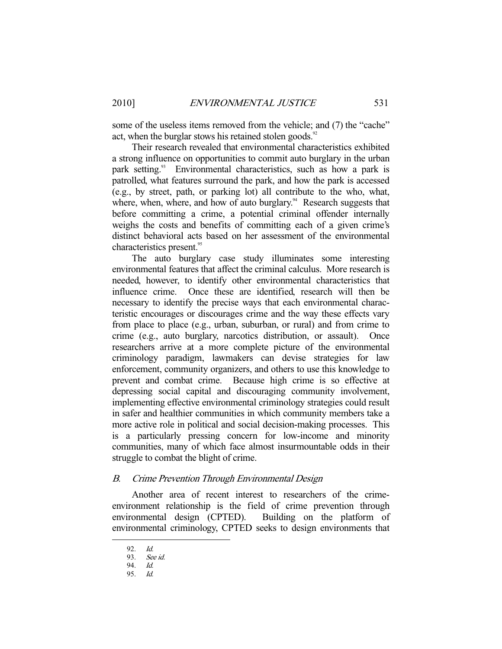some of the useless items removed from the vehicle; and (7) the "cache" act, when the burglar stows his retained stolen goods. $92$ 

 Their research revealed that environmental characteristics exhibited a strong influence on opportunities to commit auto burglary in the urban park setting.<sup>93</sup> Environmental characteristics, such as how a park is patrolled, what features surround the park, and how the park is accessed (e.g., by street, path, or parking lot) all contribute to the who, what, where, when, where, and how of auto burglary. $94$  Research suggests that before committing a crime, a potential criminal offender internally weighs the costs and benefits of committing each of a given crime's distinct behavioral acts based on her assessment of the environmental characteristics present.<sup>95</sup>

 The auto burglary case study illuminates some interesting environmental features that affect the criminal calculus. More research is needed, however, to identify other environmental characteristics that influence crime. Once these are identified, research will then be necessary to identify the precise ways that each environmental characteristic encourages or discourages crime and the way these effects vary from place to place (e.g., urban, suburban, or rural) and from crime to crime (e.g., auto burglary, narcotics distribution, or assault). Once researchers arrive at a more complete picture of the environmental criminology paradigm, lawmakers can devise strategies for law enforcement, community organizers, and others to use this knowledge to prevent and combat crime. Because high crime is so effective at depressing social capital and discouraging community involvement, implementing effective environmental criminology strategies could result in safer and healthier communities in which community members take a more active role in political and social decision-making processes. This is a particularly pressing concern for low-income and minority communities, many of which face almost insurmountable odds in their struggle to combat the blight of crime.

## B. Crime Prevention Through Environmental Design

 Another area of recent interest to researchers of the crimeenvironment relationship is the field of crime prevention through environmental design (CPTED). Building on the platform of environmental criminology, CPTED seeks to design environments that

 <sup>92.</sup> Id.

 <sup>93.</sup> See id.

 <sup>94.</sup> Id.

 <sup>95.</sup> Id.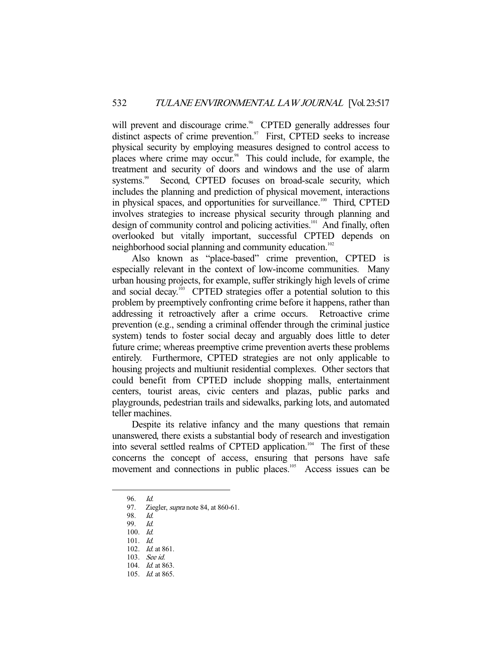will prevent and discourage crime.<sup>96</sup> CPTED generally addresses four distinct aspects of crime prevention.<sup>97</sup> First, CPTED seeks to increase physical security by employing measures designed to control access to places where crime may occur.<sup>98</sup> This could include, for example, the treatment and security of doors and windows and the use of alarm systems.<sup>99</sup> Second, CPTED focuses on broad-scale security, which includes the planning and prediction of physical movement, interactions in physical spaces, and opportunities for surveillance.<sup>100</sup> Third, CPTED involves strategies to increase physical security through planning and design of community control and policing activities.<sup>101</sup> And finally, often overlooked but vitally important, successful CPTED depends on neighborhood social planning and community education.<sup>102</sup>

 Also known as "place-based" crime prevention, CPTED is especially relevant in the context of low-income communities. Many urban housing projects, for example, suffer strikingly high levels of crime and social decay.<sup>103</sup> CPTED strategies offer a potential solution to this problem by preemptively confronting crime before it happens, rather than addressing it retroactively after a crime occurs. Retroactive crime prevention (e.g., sending a criminal offender through the criminal justice system) tends to foster social decay and arguably does little to deter future crime; whereas preemptive crime prevention averts these problems entirely. Furthermore, CPTED strategies are not only applicable to housing projects and multiunit residential complexes. Other sectors that could benefit from CPTED include shopping malls, entertainment centers, tourist areas, civic centers and plazas, public parks and playgrounds, pedestrian trails and sidewalks, parking lots, and automated teller machines.

 Despite its relative infancy and the many questions that remain unanswered, there exists a substantial body of research and investigation into several settled realms of CPTED application.<sup>104</sup> The first of these concerns the concept of access, ensuring that persons have safe movement and connections in public places.<sup>105</sup> Access issues can be

 <sup>96.</sup> Id.

<sup>97.</sup> Ziegler, *supra* note 84, at 860-61.

 <sup>98.</sup> Id.

 <sup>99.</sup> Id.

 <sup>100.</sup> Id.

 <sup>101.</sup> Id.

 <sup>102.</sup> Id. at 861.

 <sup>103.</sup> See id.

<sup>104.</sup> *Id.* at 863.

 <sup>105.</sup> Id. at 865.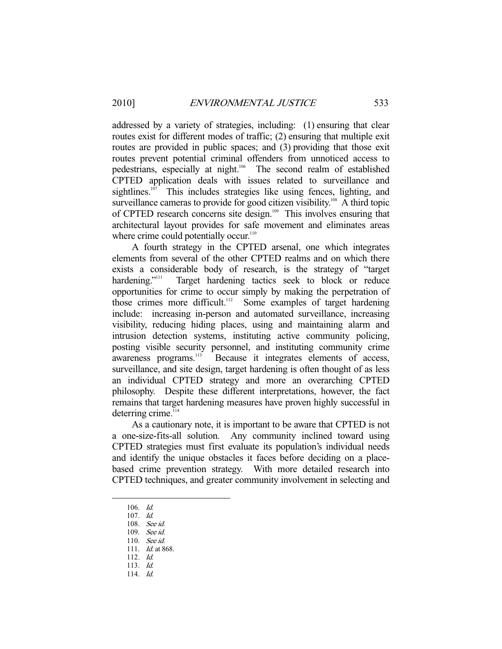addressed by a variety of strategies, including: (1) ensuring that clear routes exist for different modes of traffic; (2) ensuring that multiple exit routes are provided in public spaces; and (3) providing that those exit routes prevent potential criminal offenders from unnoticed access to pedestrians, especially at night.106 The second realm of established CPTED application deals with issues related to surveillance and sightlines.<sup>107</sup> This includes strategies like using fences, lighting, and surveillance cameras to provide for good citizen visibility.<sup>108</sup> A third topic of CPTED research concerns site design.<sup>109</sup> This involves ensuring that architectural layout provides for safe movement and eliminates areas where crime could potentially occur.<sup>110</sup>

 A fourth strategy in the CPTED arsenal, one which integrates elements from several of the other CPTED realms and on which there exists a considerable body of research, is the strategy of "target hardening."<sup>111</sup> Target hardening tactics seek to block or reduce Target hardening tactics seek to block or reduce opportunities for crime to occur simply by making the perpetration of those crimes more difficult.112 Some examples of target hardening include: increasing in-person and automated surveillance, increasing visibility, reducing hiding places, using and maintaining alarm and intrusion detection systems, instituting active community policing, posting visible security personnel, and instituting community crime awareness programs.<sup>113</sup> Because it integrates elements of access, Because it integrates elements of access, surveillance, and site design, target hardening is often thought of as less an individual CPTED strategy and more an overarching CPTED philosophy. Despite these different interpretations, however, the fact remains that target hardening measures have proven highly successful in deterring crime.<sup>114</sup>

 As a cautionary note, it is important to be aware that CPTED is not a one-size-fits-all solution. Any community inclined toward using CPTED strategies must first evaluate its population's individual needs and identify the unique obstacles it faces before deciding on a placebased crime prevention strategy. With more detailed research into CPTED techniques, and greater community involvement in selecting and

 <sup>106.</sup> Id.

 <sup>107.</sup> Id.

 <sup>108.</sup> See id.

 <sup>109.</sup> See id.

 <sup>110.</sup> See id.

<sup>111.</sup> *Id.* at 868.

 <sup>112.</sup> Id.

 <sup>113.</sup> Id.

 <sup>114.</sup> Id.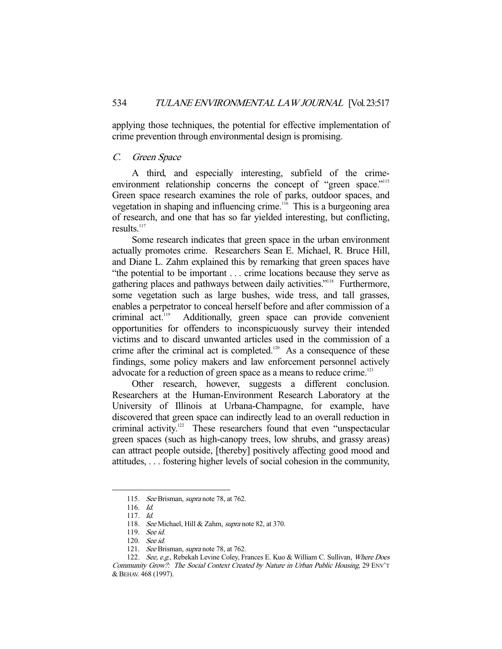applying those techniques, the potential for effective implementation of crime prevention through environmental design is promising.

## C. Green Space

 A third, and especially interesting, subfield of the crimeenvironment relationship concerns the concept of "green space."<sup>115</sup> Green space research examines the role of parks, outdoor spaces, and vegetation in shaping and influencing crime.<sup>116</sup> This is a burgeoning area of research, and one that has so far yielded interesting, but conflicting, results. $117$ 

 Some research indicates that green space in the urban environment actually promotes crime. Researchers Sean E. Michael, R. Bruce Hill, and Diane L. Zahm explained this by remarking that green spaces have "the potential to be important . . . crime locations because they serve as gathering places and pathways between daily activities."<sup>118</sup> Furthermore, some vegetation such as large bushes, wide tress, and tall grasses, enables a perpetrator to conceal herself before and after commission of a criminal act.<sup>119</sup> Additionally, green space can provide convenient Additionally, green space can provide convenient opportunities for offenders to inconspicuously survey their intended victims and to discard unwanted articles used in the commission of a crime after the criminal act is completed.<sup>120</sup> As a consequence of these findings, some policy makers and law enforcement personnel actively advocate for a reduction of green space as a means to reduce crime.<sup>121</sup>

 Other research, however, suggests a different conclusion. Researchers at the Human-Environment Research Laboratory at the University of Illinois at Urbana-Champagne, for example, have discovered that green space can indirectly lead to an overall reduction in criminal activity.<sup>122</sup> These researchers found that even "unspectacular green spaces (such as high-canopy trees, low shrubs, and grassy areas) can attract people outside, [thereby] positively affecting good mood and attitudes, . . . fostering higher levels of social cohesion in the community,

<sup>115.</sup> See Brisman, supra note 78, at 762.

 <sup>116.</sup> Id.

 <sup>117.</sup> Id.

<sup>118.</sup> See Michael, Hill & Zahm, supra note 82, at 370.

 <sup>119.</sup> See id.

 <sup>120.</sup> See id.

<sup>121.</sup> See Brisman, supra note 78, at 762.

<sup>122.</sup> See, e.g., Rebekah Levine Coley, Frances E. Kuo & William C. Sullivan, Where Does Community Grow?: The Social Context Created by Nature in Urban Public Housing, 29 ENV'T &BEHAV. 468 (1997).